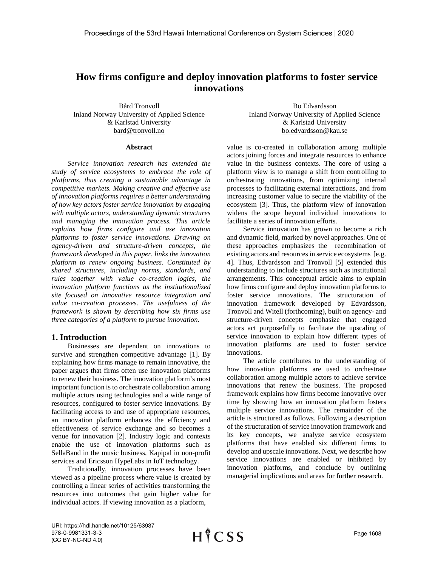# **How firms configure and deploy innovation platforms to foster service innovations**

Bård Tronvoll Inland Norway University of Applied Science & Karlstad University bard@tronvoll.no

#### **Abstract**

*Service innovation research has extended the study of service ecosystems to embrace the role of platforms, thus creating a sustainable advantage in competitive markets. Making creative and effective use of innovation platforms requires a better understanding of how key actors foster service innovation by engaging with multiple actors, understanding dynamic structures and managing the innovation process. This article explains how firms configure and use innovation platforms to foster service innovations. Drawing on agency-driven and structure-driven concepts, the framework developed in this paper, links the innovation platform to renew ongoing business. Constituted by shared structures, including norms, standards, and rules together with value co-creation logics, the innovation platform functions as the institutionalized site focused on innovative resource integration and value co-creation processes. The usefulness of the framework is shown by describing how six firms use three categories of a platform to pursue innovation.* 

## **1. Introduction**

Businesses are dependent on innovations to survive and strengthen competitive advantage [1]. By explaining how firms manage to remain innovative, the paper argues that firms often use innovation platforms to renew their business. The innovation platform's most important function is to orchestrate collaboration among multiple actors using technologies and a wide range of resources, configured to foster service innovations. By facilitating access to and use of appropriate resources, an innovation platform enhances the efficiency and effectiveness of service exchange and so becomes a venue for innovation [2]. Industry logic and contexts enable the use of innovation platforms such as SellaBand in the music business, Kapipal in non-profit services and Ericsson HypeLabs in IoT technology.

Traditionally, innovation processes have been viewed as a pipeline process where value is created by controlling a linear series of activities transforming the resources into outcomes that gain higher value for individual actors. If viewing innovation as a platform,

Bo Edvardsson Inland Norway University of Applied Science & Karlstad University bo.edvardsson@kau.se

value is co-created in collaboration among multiple actors joining forces and integrate resources to enhance value in the business contexts. The core of using a platform view is to manage a shift from controlling to orchestrating innovations, from optimizing internal processes to facilitating external interactions, and from increasing customer value to secure the viability of the ecosystem [3]. Thus, the platform view of innovation widens the scope beyond individual innovations to facilitate a series of innovation efforts.

Service innovation has grown to become a rich and dynamic field, marked by novel approaches. One of these approaches emphasizes the recombination of existing actors and resources in service ecosystems [e.g.] 4]. Thus, Edvardsson and Tronvoll [5] extended this understanding to include structures such as institutional arrangements. This conceptual article aims to explain how firms configure and deploy innovation platforms to foster service innovations. The structuration of innovation framework developed by Edvardsson, Tronvoll and Witell (forthcoming), built on agency- and structure-driven concepts emphasize that engaged actors act purposefully to facilitate the upscaling of service innovation to explain how different types of innovation platforms are used to foster service innovations.

The article contributes to the understanding of how innovation platforms are used to orchestrate collaboration among multiple actors to achieve service innovations that renew the business. The proposed framework explains how firms become innovative over time by showing how an innovation platform fosters multiple service innovations. The remainder of the article is structured as follows. Following a description of the structuration of service innovation framework and its key concepts, we analyze service ecosystem platforms that have enabled six different firms to develop and upscale innovations. Next, we describe how service innovations are enabled or inhibited by innovation platforms, and conclude by outlining managerial implications and areas for further research.

URI: https://hdl.handle.net/10125/63937 978-0-9981331-3-3 (CC BY-NC-ND 4.0)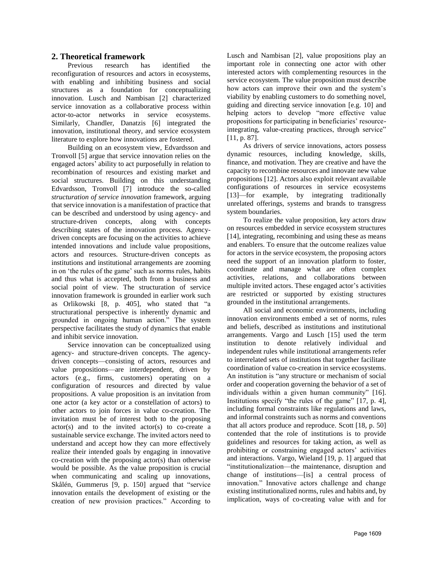# **2. Theoretical framework**

Previous research has identified the reconfiguration of resources and actors in ecosystems, with enabling and inhibiting business and social structures as a foundation for conceptualizing innovation. Lusch and Nambisan [2] characterized service innovation as a collaborative process within actor-to-actor networks in service ecosystems. Similarly, Chandler, Danatzis [6] integrated the innovation, institutional theory, and service ecosystem literature to explore how innovations are fostered.

Building on an ecosystem view, Edvardsson and Tronvoll [5] argue that service innovation relies on the engaged actors' ability to act purposefully in relation to recombination of resources and existing market and social structures. Building on this understanding Edvardsson, Tronvoll [7] introduce the so-called *structuration of service innovation* framework, arguing that service innovation is a manifestation of practice that can be described and understood by using agency- and structure-driven concepts, along with concepts describing states of the innovation process. Agencydriven concepts are focusing on the activities to achieve intended innovations and include value propositions, actors and resources. Structure-driven concepts as institutions and institutional arrangements are zooming in on 'the rules of the game' such as norms rules, habits and thus what is accepted, both from a business and social point of view. The structuration of service innovation framework is grounded in earlier work such as Orlikowski [8, p. 405], who stated that "a structurational perspective is inherently dynamic and grounded in ongoing human action." The system perspective facilitates the study of dynamics that enable and inhibit service innovation.

Service innovation can be conceptualized using agency- and structure-driven concepts. The agencydriven concepts—consisting of actors, resources and value propositions—are interdependent, driven by actors (e.g., firms, customers) operating on a configuration of resources and directed by value propositions. A value proposition is an invitation from one actor (a key actor or a constellation of actors) to other actors to join forces in value co-creation. The invitation must be of interest both to the proposing actor(s) and to the invited actor(s) to co-create a sustainable service exchange. The invited actors need to understand and accept how they can more effectively realize their intended goals by engaging in innovative co-creation with the proposing actor(s) than otherwise would be possible. As the value proposition is crucial when communicating and scaling up innovations, Skålén, Gummerus [9, p. 150] argued that "service innovation entails the development of existing or the creation of new provision practices." According to

Lusch and Nambisan [2], value propositions play an important role in connecting one actor with other interested actors with complementing resources in the service ecosystem. The value proposition must describe how actors can improve their own and the system's viability by enabling customers to do something novel, guiding and directing service innovation [e.g. 10] and helping actors to develop "more effective value propositions for participating in beneficiaries' resourceintegrating, value-creating practices, through service" [11, p. 87].

As drivers of service innovations, actors possess dynamic resources, including knowledge, skills, finance, and motivation. They are creative and have the capacity to recombine resources and innovate new value propositions [12]. Actors also exploit relevant available configurations of resources in service ecosystems [13]—for example, by integrating traditionally unrelated offerings, systems and brands to transgress system boundaries.

To realize the value proposition, key actors draw on resources embedded in service ecosystem structures [14], integrating, recombining and using these as means and enablers. To ensure that the outcome realizes value for actors in the service ecosystem, the proposing actors need the support of an innovation platform to foster, coordinate and manage what are often complex activities, relations, and collaborations between multiple invited actors. These engaged actor's activities are restricted or supported by existing structures grounded in the institutional arrangements.

All social and economic environments, including innovation environments embed a set of norms, rules and beliefs, described as institutions and institutional arrangements. Vargo and Lusch [15] used the term institution to denote relatively individual and independent rules while institutional arrangements refer to interrelated sets of institutions that together facilitate coordination of value co-creation in service ecosystems. An institution is "any structure or mechanism of social order and cooperation governing the behavior of a set of individuals within a given human community" [16]. Institutions specify "the rules of the game" [17, p. 4], including formal constraints like regulations and laws, and informal constraints such as norms and conventions that all actors produce and reproduce. Scott [18, p. 50] contended that the role of institutions is to provide guidelines and resources for taking action, as well as prohibiting or constraining engaged actors' activities and interactions. Vargo, Wieland [19, p. 1] argued that "institutionalization—the maintenance, disruption and change of institutions—[is] a central process of innovation." Innovative actors challenge and change existing institutionalized norms, rules and habits and, by implication, ways of co-creating value with and for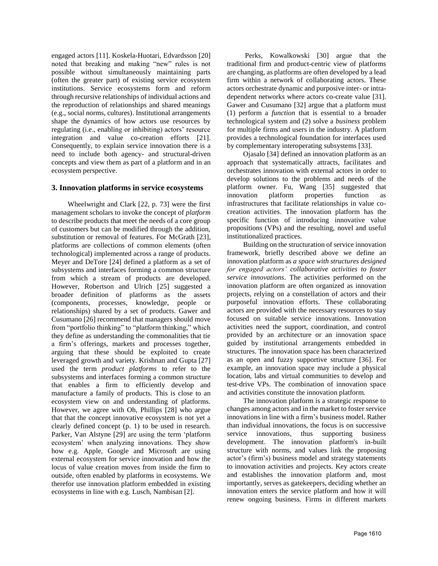engaged actors [11]. Koskela-Huotari, Edvardsson [20] noted that breaking and making "new" rules is not possible without simultaneously maintaining parts (often the greater part) of existing service ecosystem institutions. Service ecosystems form and reform through recursive relationships of individual actions and the reproduction of relationships and shared meanings (e.g., social norms, cultures). Institutional arrangements shape the dynamics of how actors use resources by regulating (i.e., enabling or inhibiting) actors' resource integration and value co-creation efforts [21]. Consequently, to explain service innovation there is a need to include both agency- and structural-driven concepts and view them as part of a platform and in an ecosystem perspective.

#### **3. Innovation platforms in service ecosystems**

Wheelwright and Clark [22, p. 73] were the first management scholars to invoke the concept of *platform* to describe products that meet the needs of a core group of customers but can be modified through the addition, substitution or removal of features. For McGrath [23], platforms are collections of common elements (often technological) implemented across a range of products. Meyer and DeTore [24] defined a platform as a set of subsystems and interfaces forming a common structure from which a stream of products are developed. However, Robertson and Ulrich [25] suggested a broader definition of platforms as the assets (components, processes, knowledge, people or relationships) shared by a set of products. Gawer and Cusumano [26] recommend that managers should move from "portfolio thinking" to "platform thinking," which they define as understanding the commonalities that tie a firm's offerings, markets and processes together, arguing that these should be exploited to create leveraged growth and variety. Krishnan and Gupta [27] used the term *product platforms* to refer to the subsystems and interfaces forming a common structure that enables a firm to efficiently develop and manufacture a family of products. This is close to an ecosystem view on and understanding of platforms. However, we agree with Oh, Phillips [28] who argue that that the concept innovative ecosystem is not yet a clearly defined concept (p. 1) to be used in research. Parker, Van Alstyne [29] are using the term 'platform ecosystem' when analyzing innovations. They show how e.g. Apple, Google and Microsoft are using external ecosystem for service innovation and how the locus of value creation moves from inside the firm to outside, often enabled by platforms in ecosystems. We therefor use innovation platform embedded in existing ecosystems in line with e.g. Lusch, Nambisan [2].

Perks, Kowalkowski [30] argue that the traditional firm and product-centric view of platforms are changing, as platforms are often developed by a lead firm within a network of collaborating actors. These actors orchestrate dynamic and purposive inter- or intradependent networks where actors co-create value [31]. Gawer and Cusumano [32] argue that a platform must (1) perform a *function* that is essential to a broader technological system and (2) solve a *business* problem for multiple firms and users in the industry. A platform provides a technological foundation for interfaces used by complementary interoperating subsystems [33].

Ojasalo [34] defined an innovation platform as an approach that systematically attracts, facilitates and orchestrates innovation with external actors in order to develop solutions to the problems and needs of the platform owner. Fu, Wang [35] suggested that innovation platform properties function as infrastructures that facilitate relationships in value cocreation activities. The innovation platform has the specific function of introducing innovative value propositions (VPs) and the resulting, novel and useful institutionalized practices.

Building on the structuration of service innovation framework, briefly described above we define an innovation platform as *a space with structures designed for engaged actors' collaborative activities to foster service innovations*. The activities performed on the innovation platform are often organized as innovation projects, relying on a constellation of actors and their purposeful innovation efforts. These collaborating actors are provided with the necessary resources to stay focused on suitable service innovations. Innovation activities need the support, coordination, and control provided by an architecture or an innovation space guided by institutional arrangements embedded in structures. The innovation space has been characterized as an open and fuzzy supportive structure [36]. For example, an innovation space may include a physical location, labs and virtual communities to develop and test-drive VPs. The combination of innovation space and activities constitute the innovation platform.

The innovation platform is a strategic response to changes among actors and in the market to foster service innovations in line with a firm's business model. Rather than individual innovations, the focus is on successive service innovations, thus supporting business development. The innovation platform's in-built structure with norms, and values link the proposing actor's (firm's) business model and strategy statements to innovation activities and projects. Key actors create and establishes the innovation platform and, most importantly, serves as gatekeepers, deciding whether an innovation enters the service platform and how it will renew ongoing business. Firms in different markets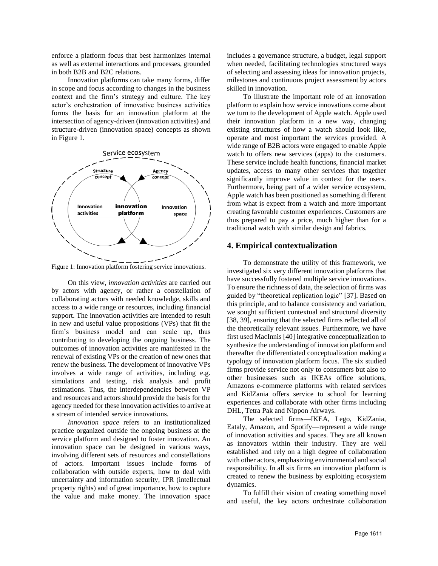enforce a platform focus that best harmonizes internal as well as external interactions and processes, grounded in both B2B and B2C relations.

Innovation platforms can take many forms, differ in scope and focus according to changes in the business context and the firm's strategy and culture. The key actor's orchestration of innovative business activities forms the basis for an innovation platform at the intersection of agency-driven (innovation activities) and structure-driven (innovation space) concepts as shown in Figure 1.



Figure 1: Innovation platform fostering service innovations.

On this view, *innovation activities* are carried out by actors with agency, or rather a constellation of collaborating actors with needed knowledge, skills and access to a wide range or resources, including financial support. The innovation activities are intended to result in new and useful value propositions (VPs) that fit the firm's business model and can scale up, thus contributing to developing the ongoing business. The outcomes of innovation activities are manifested in the renewal of existing VPs or the creation of new ones that renew the business. The development of innovative VPs involves a wide range of activities, including e.g. simulations and testing, risk analysis and profit estimations. Thus, the interdependencies between VP and resources and actors should provide the basis for the agency needed for these innovation activities to arrive at a stream of intended service innovations.

*Innovation space* refers to an institutionalized practice organized outside the ongoing business at the service platform and designed to foster innovation. An innovation space can be designed in various ways, involving different sets of resources and constellations of actors. Important issues include forms of collaboration with outside experts, how to deal with uncertainty and information security, IPR (intellectual property rights) and of great importance, how to capture the value and make money. The innovation space

includes a governance structure, a budget, legal support when needed, facilitating technologies structured ways of selecting and assessing ideas for innovation projects, milestones and continuous project assessment by actors skilled in innovation.

To illustrate the important role of an innovation platform to explain how service innovations come about we turn to the development of Apple watch. Apple used their innovation platform in a new way, changing existing structures of how a watch should look like, operate and most important the services provided. A wide range of B2B actors were engaged to enable Apple watch to offers new services (apps) to the customers. These service include health functions, financial market updates, access to many other services that together significantly improve value in context for the users. Furthermore, being part of a wider service ecosystem, Apple watch has been positioned as something different from what is expect from a watch and more important creating favorable customer experiences. Customers are thus prepared to pay a price, much higher than for a traditional watch with similar design and fabrics.

## **4. Empirical contextualization**

To demonstrate the utility of this framework, we investigated six very different innovation platforms that have successfully fostered multiple service innovations. To ensure the richness of data, the selection of firms was guided by "theoretical replication logic" [37]. Based on this principle, and to balance consistency and variation, we sought sufficient contextual and structural diversity [38, 39], ensuring that the selected firms reflected all of the theoretically relevant issues. Furthermore, we have first used MacInnis [40] integrative conceptualization to synthesize the understanding of innovation platform and thereafter the differentiated conceptualization making a typology of innovation platform focus. The six studied firms provide service not only to consumers but also to other businesses such as IKEAs office solutions, Amazons e-commerce platforms with related services and KidZania offers service to school for learning experiences and collaborate with other firms including DHL, Tetra Pak and Nippon Airways.

The selected firms—IKEA, Lego, KidZania, Eataly, Amazon, and Spotify—represent a wide range of innovation activities and spaces. They are all known as innovators within their industry. They are well established and rely on a high degree of collaboration with other actors, emphasizing environmental and social responsibility. In all six firms an innovation platform is created to renew the business by exploiting ecosystem dynamics.

To fulfill their vision of creating something novel and useful, the key actors orchestrate collaboration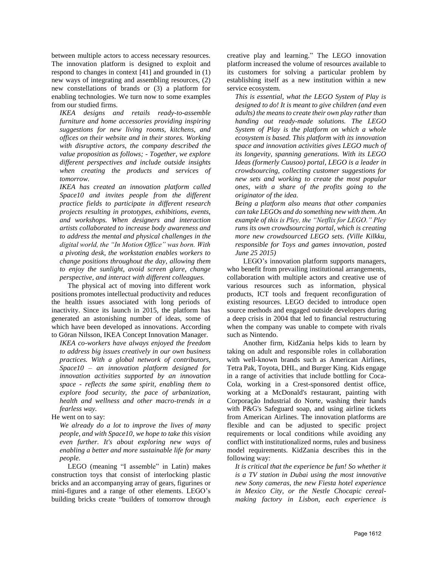between multiple actors to access necessary resources. The innovation platform is designed to exploit and respond to changes in context [41] and grounded in (1) new ways of integrating and assembling resources, (2) new constellations of brands or (3) a platform for enabling technologies. We turn now to some examples from our studied firms.

*IKEA designs and retails ready-to-assemble furniture and home accessories providing inspiring suggestions for new living rooms, kitchens, and offices on their website and in their stores. Working with disruptive actors, the company described the value proposition as follows; - Together, we explore different perspectives and include outside insights when creating the products and services of tomorrow.*

*IKEA has created an innovation platform called Space10 and invites people from the different practice fields to participate in different research projects resulting in prototypes, exhibitions, events, and workshops. When designers and interaction artists collaborated to increase body awareness and to address the mental and physical challenges in the digital world, the "In Motion Office" was born. With a pivoting desk, the workstation enables workers to change positions throughout the day, allowing them to enjoy the sunlight, avoid screen glare, change perspective, and interact with different colleagues.*

The physical act of moving into different work positions promotes intellectual productivity and reduces the health issues associated with long periods of inactivity. Since its launch in 2015, the platform has generated an astonishing number of ideas, some of which have been developed as innovations. According to Göran Nilsson, IKEA Concept Innovation Manager.

*IKEA co-workers have always enjoyed the freedom to address big issues creatively in our own business practices. With a global network of contributors, Space10 – an innovation platform designed for innovation activities supported by an innovation space - reflects the same spirit, enabling them to explore food security, the pace of urbanization, health and wellness and other macro-trends in a fearless way.*

He went on to say:

*We already do a lot to improve the lives of many people, and with Space10, we hope to take this vision even further. It's about exploring new ways of enabling a better and more sustainable life for many people.* 

LEGO (meaning "I assemble" in Latin) makes [construction toys](https://en.wikipedia.org/wiki/Construction_toy) that consist of [interlocking](https://en.wikipedia.org/wiki/Interchangeable_parts) plastic bricks and an accompanying array of gears, figurines or [mini-figures](https://en.wikipedia.org/wiki/Lego_minifigure) and a range of other elements. LEGO's building bricks create "builders of tomorrow through creative play and learning." The LEGO innovation platform increased the volume of resources available to its customers for solving a particular problem by establishing itself as a new institution within a new service ecosystem.

*This is essential, what the LEGO System of Play is designed to do! It is meant to give children (and even adults) the means to create their own play rather than handing out ready-made solutions. The LEGO System of Play is the platform on which a whole ecosystem is based. This platform with its innovation space and innovation activities gives LEGO much of its longevity, spanning generations. With its LEGO Ideas (formerly Cuusoo) portal, LEGO is a [leader](http://blogs.wsj.com/digits/2015/02/25/legos-plan-to-find-the-next-big-hit-crowdsource-it/) in [crowdsourcing,](http://blogs.wsj.com/digits/2015/02/25/legos-plan-to-find-the-next-big-hit-crowdsource-it/) collecting customer suggestions for new sets and working to create the most popular ones, with a share of the profits going to the originator of the idea.*

*Being a platform also means that other companies can take LEGOs and do something new with them. An example of this is Pley, the "Netflix for LEGO." Pley [runs its own crowdsourcing portal,](http://techcrunch.com/2015/02/02/neflix-for-lego-pley-launches-a-kit-crowdsourcing-platform-and-raises-10m/) which is creating more new crowdsourced LEGO sets. (Ville Kilkku, responsible for [Toys and games](http://www.kilkku.com/blog/category/toys-and-games/) [innovation,](http://www.kilkku.com/blog/tag/innovation/) posted June 25 2015)*

LEGO's innovation platform supports managers, who benefit from prevailing institutional arrangements, collaboration with multiple actors and creative use of various resources such as information, physical products, ICT tools and frequent reconfiguration of existing resources. LEGO decided to introduce open source methods and engaged outside developers during a deep crisis in 2004 that led to financial restructuring when the company was unable to compete with rivals such as Nintendo.

Another firm, KidZania helps kids to learn by taking on adult and responsible roles in collaboration with well-known brands such as American Airlines, Tetra Pak, Toyota, DHL, and Burger King. Kids engage in a range of activities that include bottling for [Coca-](https://en.wikipedia.org/wiki/Coca-Cola)[Cola,](https://en.wikipedia.org/wiki/Coca-Cola) working in a [Crest-](https://en.wikipedia.org/wiki/Crest_(toothpaste))sponsored dentist office, working at a [McDonald's](https://en.wikipedia.org/wiki/McDonald%27s) restaurant, painting with [Corporação Industrial do Norte,](https://en.wikipedia.org/wiki/Corpora%C3%A7%C3%A3o_Industrial_do_Norte) washing their hands with [P&G's](https://en.wikipedia.org/wiki/P%26G) [Safeguard](https://en.wikipedia.org/wiki/Safeguard_(soap)) soap, and using airline tickets from [American](https://en.wikipedia.org/wiki/American_Airlines) Airlines. The innovation platforms are flexible and can be adjusted to specific project requirements or local conditions while avoiding any conflict with institutionalized norms, rules and business model requirements. KidZania describes this in the following way:

*It is critical that the experience be fun! So whether it is a TV station in Dubai using the most innovative new Sony cameras, the new Fiesta hotel experience in Mexico City, or the Nestle Chocapic cerealmaking factory in Lisbon, each experience is*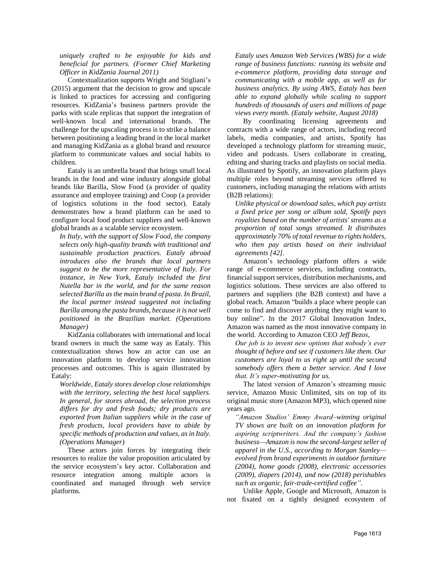*uniquely crafted to be enjoyable for kids and beneficial for partners. (Former Chief Marketing Officer in KidZania Journal 2011)* 

Contextualization supports Wright and Stigliani's (2015) argument that the decision to grow and upscale is linked to practices for accessing and configuring resources. KidZania's business partners provide the parks with scale replicas that support the integration of well-known local and international brands. The challenge for the upscaling process is to strike a balance between positioning a leading brand in the local market and managing KidZania as a global brand and resource platform to communicate values and social habits to children.

Eataly is an umbrella brand that brings small local brands in the food and wine industry alongside global brands like Barilla, Slow Food (a provider of quality assurance and employee training) and Coop (a provider of logistics solutions in the food sector). Eataly demonstrates how a brand platform can be used to configure local food product suppliers and well-known global brands as a scalable service ecosystem.

*In Italy, with the support of Slow Food, the company selects only high-quality brands with traditional and sustainable production practices. Eataly abroad introduces also the brands that local partners suggest to be the more representative of Italy. For instance, in New York, Eataly included the first Nutella bar in the world, and for the same reason selected Barilla as the main brand of pasta. In Brazil, the local partner instead suggested not including Barilla among the pasta brands, because it is not well positioned in the Brazilian market. (Operations Manager)*

KidZania collaborates with international and local brand owners in much the same way as Eataly. This contextualization shows how an actor can use an innovation platform to develop service innovation processes and outcomes. This is again illustrated by Eataly:

*Worldwide, Eataly stores develop close relationships with the territory, selecting the best local suppliers. In general, for stores abroad, the selection process differs for dry and fresh foods; dry products are exported from Italian suppliers while in the case of fresh products, local providers have to abide by specific methods of production and values, as in Italy. (Operations Manager)*

These actors join forces by integrating their resources to realize the value proposition articulated by the service ecosystem's key actor. Collaboration and resource integration among multiple actors is coordinated and managed through web service platforms.

*[Eataly](http://www.eataly.com/) uses Amazon Web Services (WBS) for a wide range of business functions: running its website and e-commerce platform, providing data storage and communicating with a mobile app, as well as for business analytics. By using AWS, Eataly has been able to expand globally while scaling to support hundreds of thousands of users and millions of page views every month. (Eataly website, August 2018)*

By coordinating licensing agreements and contracts with a wide range of actors, including record labels, media companies, and artists, Spotify has developed a technology platform for streaming music, video and podcasts. Users collaborate in creating, editing and sharing tracks and playlists on [social media.](https://en.wikipedia.org/wiki/Social_media) As illustrated by Spotify, an innovation platform plays multiple roles beyond streaming services offered to customers, including managing the relations with artists (B2B relations):

*Unlike physical or [download](https://en.wikipedia.org/wiki/Music_download) sales, which pay artists a fixed price per song or album sold, Spotify pays [royalties](https://en.wikipedia.org/wiki/Royalties) based on the number of artists' streams as a proportion of total songs streamed. It distributes approximately 70% of total revenue to rights holders, who then pay artists based on their individual agreements [42].*

Amazon's technology platform offers a wide range of e-commerce services, including contracts, financial support services, distribution mechanisms, and logistics solutions. These services are also offered to partners and suppliers (the B2B context) and have a global reach. Amazon "builds a place where people can come to find and discover anything they might want to buy online". In the 2017 Global Innovation Index, Amazon was named as the most innovative company in the world. According to Amazon CEO *Jeff Bezos,*

*Our job is to invent new options that nobody's ever thought of before and see if customers like them. Our customers are loyal to us right up until the second somebody offers them a better service. And I love that. It's super-motivating for us.*

The latest version of Amazon's streaming music service, Amazon Music Unlimited, sits on top of its original music store (Amazon MP3), which opened nine years ago.

*"Amazon Studios' Emmy Award–winning original TV shows are built on an innovation platform for aspiring scriptwriters. And the company's fashion business—Amazon is now the second-largest seller of apparel in the U.S., according to Morgan Stanley evolved from brand experiments in outdoor furniture (2004), home goods (2008), electronic accessories (2009), diapers (2014), and now (2018) perishables such as organic, fair-trade-certified coffee".*

Unlike Apple, Google and Microsoft, Amazon is not fixated on a tightly designed ecosystem of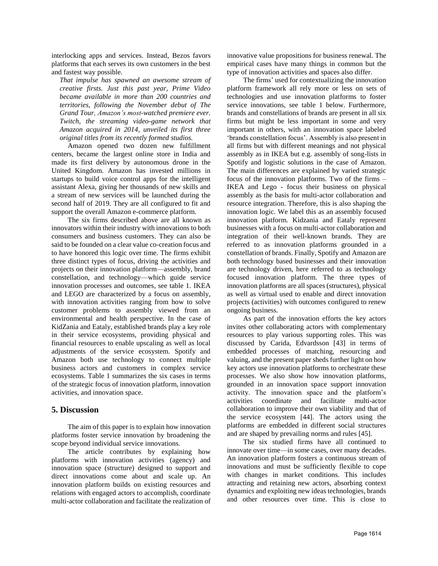interlocking apps and services. Instead, Bezos favors platforms that each serves its own customers in the best and fastest way possible*.* 

*That impulse has spawned an awesome stream of creative firsts. Just this past year, Prime Video became available in more than 200 countries and territories, following the November debut of The Grand Tour, Amazon's most-watched premiere ever. Twitch, the streaming video-game network that Amazon acquired in 2014, unveiled its first three original titles from its recently formed studios.* 

Amazon opened two dozen new fulfillment centers, became the largest online store in India and made its first delivery by autonomous drone in the United Kingdom. Amazon has invested millions in startups to build voice control apps for the intelligent assistant Alexa, giving her thousands of new skills and a stream of new services will be launched during the second half of 2019. They are all configured to fit and support the overall Amazon e-commerce platform.

The six firms described above are all known as innovators within their industry with innovations to both consumers and business customers. They can also be said to be founded on a clear value co-creation focus and to have honored this logic over time. The firms exhibit three distinct types of focus, driving the activities and projects on their innovation platform—assembly, brand constellation, and technology—which guide service innovation processes and outcomes, see table 1. IKEA and LEGO are characterized by a focus on assembly, with innovation activities ranging from how to solve customer problems to assembly viewed from an environmental and health perspective. In the case of KidZania and Eataly, established brands play a key role in their service ecosystems, providing physical and financial resources to enable upscaling as well as local adjustments of the service ecosystem. Spotify and Amazon both use technology to connect multiple business actors and customers in complex service ecosystems. Table 1 summarizes the six cases in terms of the strategic focus of innovation platform, innovation activities, and innovation space.

# **5. Discussion**

The aim of this paper is to explain how innovation platforms foster service innovation by broadening the scope beyond individual service innovations.

The article contributes by explaining how platforms with innovation activities (agency) and innovation space (structure) designed to support and direct innovations come about and scale up. An innovation platform builds on existing resources and relations with engaged actors to accomplish, coordinate multi-actor collaboration and facilitate the realization of innovative value propositions for business renewal. The empirical cases have many things in common but the type of innovation activities and spaces also differ.

The firms' used for contextualizing the innovation platform framework all rely more or less on sets of technologies and use innovation platforms to foster service innovations, see table 1 below. Furthermore, brands and constellations of brands are present in all six firms but might be less important in some and very important in others, with an innovation space labeled 'brands constellation focus'. Assembly is also present in all firms but with different meanings and not physical assembly as in IKEA but e.g. assembly of song-lists in Spotify and logistic solutions in the case of Amazon. The main differences are explained by varied strategic focus of the innovation platforms. Two of the firms – IKEA and Lego - focus their business on physical assembly as the basis for multi-actor collaboration and resource integration. Therefore, this is also shaping the innovation logic. We label this as an assembly focused innovation platform. Kidzania and Eataly represent businesses with a focus on multi-actor collaboration and integration of their well-known brands. They are referred to as innovation platforms grounded in a constellation of brands. Finally, Spotify and Amazon are both technology based businesses and their innovation are technology driven, here referred to as technology focused innovation platform. The three types of innovation platforms are all spaces (structures), physical as well as virtual used to enable and direct innovation projects (activities) with outcomes configured to renew ongoing business.

As part of the innovation efforts the key actors invites other collaborating actors with complementary resources to play various supporting roles. This was discussed by Carida, Edvardsson [43] in terms of embedded processes of matching, resourcing and valuing, and the present paper sheds further light on how key actors use innovation platforms to orchestrate these processes. We also show how innovation platforms, grounded in an innovation space support innovation activity. The innovation space and the platform's activities coordinate and facilitate multi-actor collaboration to improve their own viability and that of the service ecosystem [44]. The actors using the platforms are embedded in different social structures and are shaped by prevailing norms and rules [45].

The six studied firms have all continued to innovate over time—in some cases, over many decades. An innovation platform fosters a continuous stream of innovations and must be sufficiently flexible to cope with changes in market conditions. This includes attracting and retaining new actors, absorbing context dynamics and exploiting new ideas technologies, brands and other resources over time. This is close to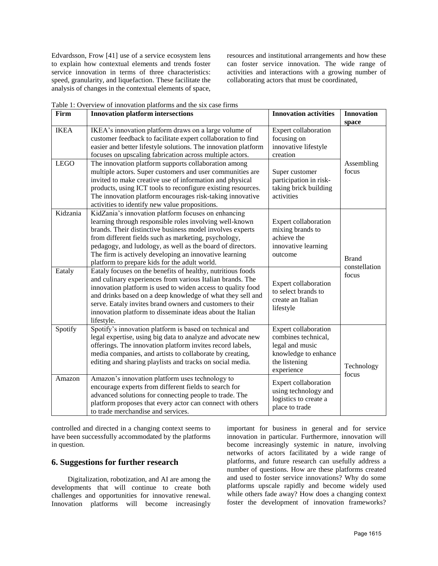Edvardsson, Frow [41] use of a service ecosystem lens to explain how contextual elements and trends foster service innovation in terms of three characteristics: speed, granularity, and liquefaction. These facilitate the analysis of changes in the contextual elements of space,

resources and institutional arrangements and how these can foster service innovation. The wide range of activities and interactions with a growing number of collaborating actors that must be coordinated,

| Firm                       | <b>Innovation platform intersections</b>                                                                                                                                                                                                                                                                                                                                                                     | <b>Innovation activities</b>                                                                                          | <b>Innovation</b><br>space             |
|----------------------------|--------------------------------------------------------------------------------------------------------------------------------------------------------------------------------------------------------------------------------------------------------------------------------------------------------------------------------------------------------------------------------------------------------------|-----------------------------------------------------------------------------------------------------------------------|----------------------------------------|
| <b>IKEA</b><br><b>LEGO</b> | IKEA's innovation platform draws on a large volume of<br>customer feedback to facilitate expert collaboration to find<br>easier and better lifestyle solutions. The innovation platform<br>focuses on upscaling fabrication across multiple actors.<br>The innovation platform supports collaboration among                                                                                                  | Expert collaboration<br>focusing on<br>innovative lifestyle<br>creation                                               | Assembling<br>focus                    |
|                            | multiple actors. Super customers and user communities are<br>invited to make creative use of information and physical<br>products, using ICT tools to reconfigure existing resources.<br>The innovation platform encourages risk-taking innovative<br>activities to identify new value propositions.                                                                                                         | Super customer<br>participation in risk-<br>taking brick building<br>activities                                       |                                        |
| Kidzania                   | KidZania's innovation platform focuses on enhancing<br>learning through responsible roles involving well-known<br>brands. Their distinctive business model involves experts<br>from different fields such as marketing, psychology,<br>pedagogy, and ludology, as well as the board of directors.<br>The firm is actively developing an innovative learning<br>platform to prepare kids for the adult world. | Expert collaboration<br>mixing brands to<br>achieve the<br>innovative learning<br>outcome                             | <b>Brand</b><br>constellation<br>focus |
| Eataly                     | Eataly focuses on the benefits of healthy, nutritious foods<br>and culinary experiences from various Italian brands. The<br>innovation platform is used to widen access to quality food<br>and drinks based on a deep knowledge of what they sell and<br>serve. Eataly invites brand owners and customers to their<br>innovation platform to disseminate ideas about the Italian<br>lifestyle.               | Expert collaboration<br>to select brands to<br>create an Italian<br>lifestyle                                         |                                        |
| Spotify                    | Spotify's innovation platform is based on technical and<br>legal expertise, using big data to analyze and advocate new<br>offerings. The innovation platform invites record labels,<br>media companies, and artists to collaborate by creating,<br>editing and sharing playlists and tracks on social media.                                                                                                 | Expert collaboration<br>combines technical,<br>legal and music<br>knowledge to enhance<br>the listening<br>experience | Technology<br>focus                    |
| Amazon                     | Amazon's innovation platform uses technology to<br>encourage experts from different fields to search for<br>advanced solutions for connecting people to trade. The<br>platform proposes that every actor can connect with others<br>to trade merchandise and services.                                                                                                                                       | Expert collaboration<br>using technology and<br>logistics to create a<br>place to trade                               |                                        |

Table 1: Overview of innovation platforms and the six case firms

controlled and directed in a changing context seems to have been successfully accommodated by the platforms in question.

## **6. Suggestions for further research**

Digitalization, robotization, and AI are among the developments that will continue to create both challenges and opportunities for innovative renewal. Innovation platforms will become increasingly

important for business in general and for service innovation in particular. Furthermore, innovation will become increasingly systemic in nature, involving networks of actors facilitated by a wide range of platforms, and future research can usefully address a number of questions. How are these platforms created and used to foster service innovations? Why do some platforms upscale rapidly and become widely used while others fade away? How does a changing context foster the development of innovation frameworks?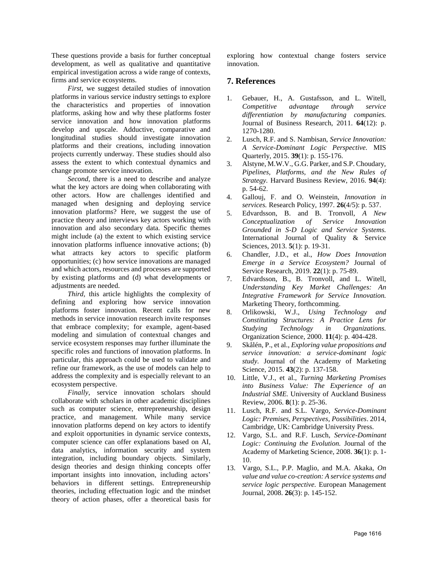These questions provide a basis for further conceptual development, as well as qualitative and quantitative empirical investigation across a wide range of contexts, firms and service ecosystems.

*First*, we suggest detailed studies of innovation platforms in various service industry settings to explore the characteristics and properties of innovation platforms, asking how and why these platforms foster service innovation and how innovation platforms develop and upscale. Adductive, comparative and longitudinal studies should investigate innovation platforms and their creations, including innovation projects currently underway. These studies should also assess the extent to which contextual dynamics and change promote service innovation.

*Second*, there is a need to describe and analyze what the key actors are doing when collaborating with other actors. How are challenges identified and managed when designing and deploying service innovation platforms? Here, we suggest the use of practice theory and interviews key actors working with innovation and also secondary data. Specific themes might include (a) the extent to which existing service innovation platforms influence innovative actions; (b) what attracts key actors to specific platform opportunities; (c) how service innovations are managed and which actors, resources and processes are supported by existing platforms and (d) what developments or adjustments are needed.

*Third,* this article highlights the complexity of defining and exploring how service innovation platforms foster innovation. Recent calls for new methods in service innovation research invite responses that embrace complexity; for example, agent-based modeling and simulation of contextual changes and service ecosystem responses may further illuminate the specific roles and functions of innovation platforms. In particular, this approach could be used to validate and refine our framework, as the use of models can help to address the complexity and is especially relevant to an ecosystem perspective.

*Finally*, service innovation scholars should collaborate with scholars in other academic disciplines such as computer science, entrepreneurship, design practice, and management. While many service innovation platforms depend on key actors to identify and exploit opportunities in dynamic service contexts, computer science can offer explanations based on AI, data analytics, information security and system integration, including boundary objects. Similarly, design theories and design thinking concepts offer important insights into innovation, including actors' behaviors in different settings. Entrepreneurship theories, including effectuation logic and the mindset theory of action phases, offer a theoretical basis for

exploring how contextual change fosters service innovation.

# **7. References**

- 1. Gebauer, H., A. Gustafsson, and L. Witell, *Competitive advantage through service differentiation by manufacturing companies.* Journal of Business Research, 2011. **64**(12): p. 1270-1280.
- 2. Lusch, R.F. and S. Nambisan, *Service Innovation: A Service-Dominant Logic Perspective.* MIS Quarterly, 2015. **39**(1): p. 155-176.
- 3. Alstyne, M.W.V., G.G. Parker, and S.P. Choudary, *Pipelines, Platforms, and the New Rules of Strategy.* Harvard Business Review, 2016. **94**(4): p. 54-62.
- 4. Gallouj, F. and O. Weinstein, *Innovation in services.* Research Policy, 1997. **26**(4/5): p. 537.
- 5. Edvardsson, B. and B. Tronvoll, *A New Conceptualization of Service Innovation Grounded in S-D Logic and Service Systems.* International Journal of Quality & Service Sciences, 2013. **5**(1): p. 19-31.
- 6. Chandler, J.D., et al., *How Does Innovation Emerge in a Service Ecosystem?* Journal of Service Research, 2019. **22**(1): p. 75-89.
- 7. Edvardsson, B., B. Tronvoll, and L. Witell, *Understanding Key Market Challenges: An Integrative Framework for Service Innovation.* Marketing Theory, forthcomming.
- 8. Orlikowski, W.J., *Using Technology and Constituting Structures: A Practice Lens for Studying Technology in Organizations.* Organization Science, 2000. **11**(4): p. 404-428.
- 9. Skålén, P., et al., *Exploring value propositions and service innovation: a service-dominant logic study.* Journal of the Academy of Marketing Science, 2015. **43**(2): p. 137-158.
- 10. Little, V.J., et al., *Turning Marketing Promises into Business Value: The Experience of an Industrial SME.* University of Auckland Business Review, 2006. **8**(1): p. 25-36.
- 11. Lusch, R.F. and S.L. Vargo, *Service-Dominant Logic: Premises, Perspectives, Possibilities*. 2014, Cambridge, UK: Cambridge University Press.
- 12. Vargo, S.L. and R.F. Lusch, *Service-Dominant Logic: Continuing the Evolution.* Journal of the Academy of Marketing Science, 2008. **36**(1): p. 1- 10.
- 13. Vargo, S.L., P.P. Maglio, and M.A. Akaka, *On value and value co-creation: A service systems and service logic perspective.* European Management Journal, 2008. **26**(3): p. 145-152.